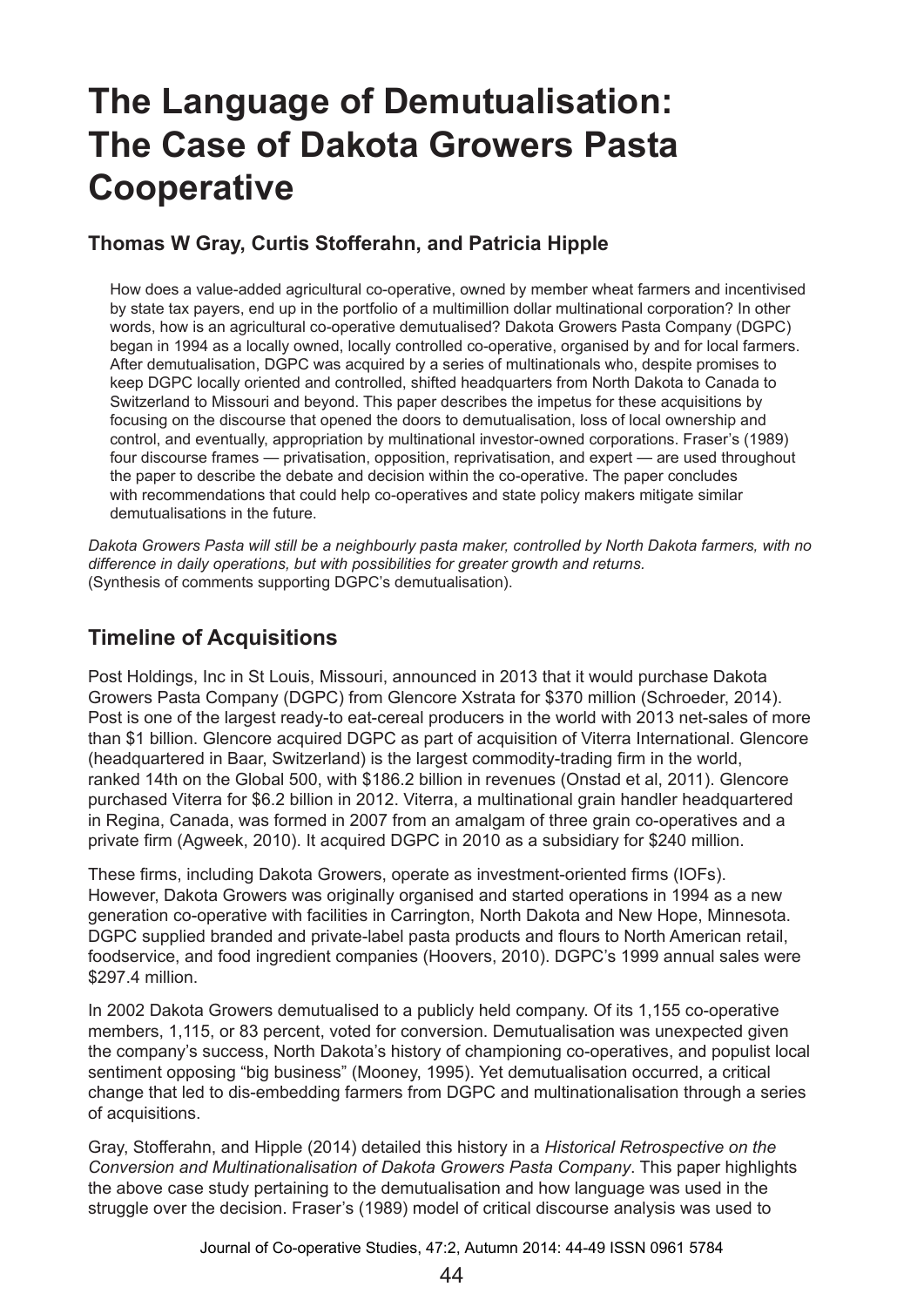# **The Language of Demutualisation: The Case of Dakota Growers Pasta Cooperative**

#### **Thomas W Gray, Curtis Stofferahn, and Patricia Hipple**

How does a value-added agricultural co-operative, owned by member wheat farmers and incentivised by state tax payers, end up in the portfolio of a multimillion dollar multinational corporation? In other words, how is an agricultural co-operative demutualised? Dakota Growers Pasta Company (DGPC) began in 1994 as a locally owned, locally controlled co-operative, organised by and for local farmers. After demutualisation, DGPC was acquired by a series of multinationals who, despite promises to keep DGPC locally oriented and controlled, shifted headquarters from North Dakota to Canada to Switzerland to Missouri and beyond. This paper describes the impetus for these acquisitions by focusing on the discourse that opened the doors to demutualisation, loss of local ownership and control, and eventually, appropriation by multinational investor-owned corporations. Fraser's (1989) four discourse frames — privatisation, opposition, reprivatisation, and expert — are used throughout the paper to describe the debate and decision within the co-operative. The paper concludes with recommendations that could help co-operatives and state policy makers mitigate similar demutualisations in the future.

*Dakota Growers Pasta will still be a neighbourly pasta maker, controlled by North Dakota farmers, with no difference in daily operations, but with possibilities for greater growth and returns.* (Synthesis of comments supporting DGPC's demutualisation).

# **Timeline of Acquisitions**

Post Holdings, Inc in St Louis, Missouri, announced in 2013 that it would purchase Dakota Growers Pasta Company (DGPC) from Glencore Xstrata for \$370 million (Schroeder, 2014). Post is one of the largest ready-to eat-cereal producers in the world with 2013 net-sales of more than \$1 billion. Glencore acquired DGPC as part of acquisition of Viterra International. Glencore (headquartered in Baar, Switzerland) is the largest commodity-trading firm in the world, ranked 14th on the Global 500, with \$186.2 billion in revenues (Onstad et al, 2011). Glencore purchased Viterra for \$6.2 billion in 2012. Viterra, a multinational grain handler headquartered in Regina, Canada, was formed in 2007 from an amalgam of three grain co-operatives and a private firm (Agweek, 2010). It acquired DGPC in 2010 as a subsidiary for \$240 million.

These firms, including Dakota Growers, operate as investment-oriented firms (IOFs). However, Dakota Growers was originally organised and started operations in 1994 as a new generation co-operative with facilities in Carrington, North Dakota and New Hope, Minnesota. DGPC supplied branded and private-label pasta products and flours to North American retail, foodservice, and food ingredient companies (Hoovers, 2010). DGPC's 1999 annual sales were \$297.4 million.

In 2002 Dakota Growers demutualised to a publicly held company. Of its 1,155 co-operative members, 1,115, or 83 percent, voted for conversion. Demutualisation was unexpected given the company's success, North Dakota's history of championing co-operatives, and populist local sentiment opposing "big business" (Mooney, 1995). Yet demutualisation occurred, a critical change that led to dis-embedding farmers from DGPC and multinationalisation through a series of acquisitions.

Gray, Stofferahn, and Hipple (2014) detailed this history in a *Historical Retrospective on the Conversion and Multinationalisation of Dakota Growers Pasta Company*. This paper highlights the above case study pertaining to the demutualisation and how language was used in the struggle over the decision. Fraser's (1989) model of critical discourse analysis was used to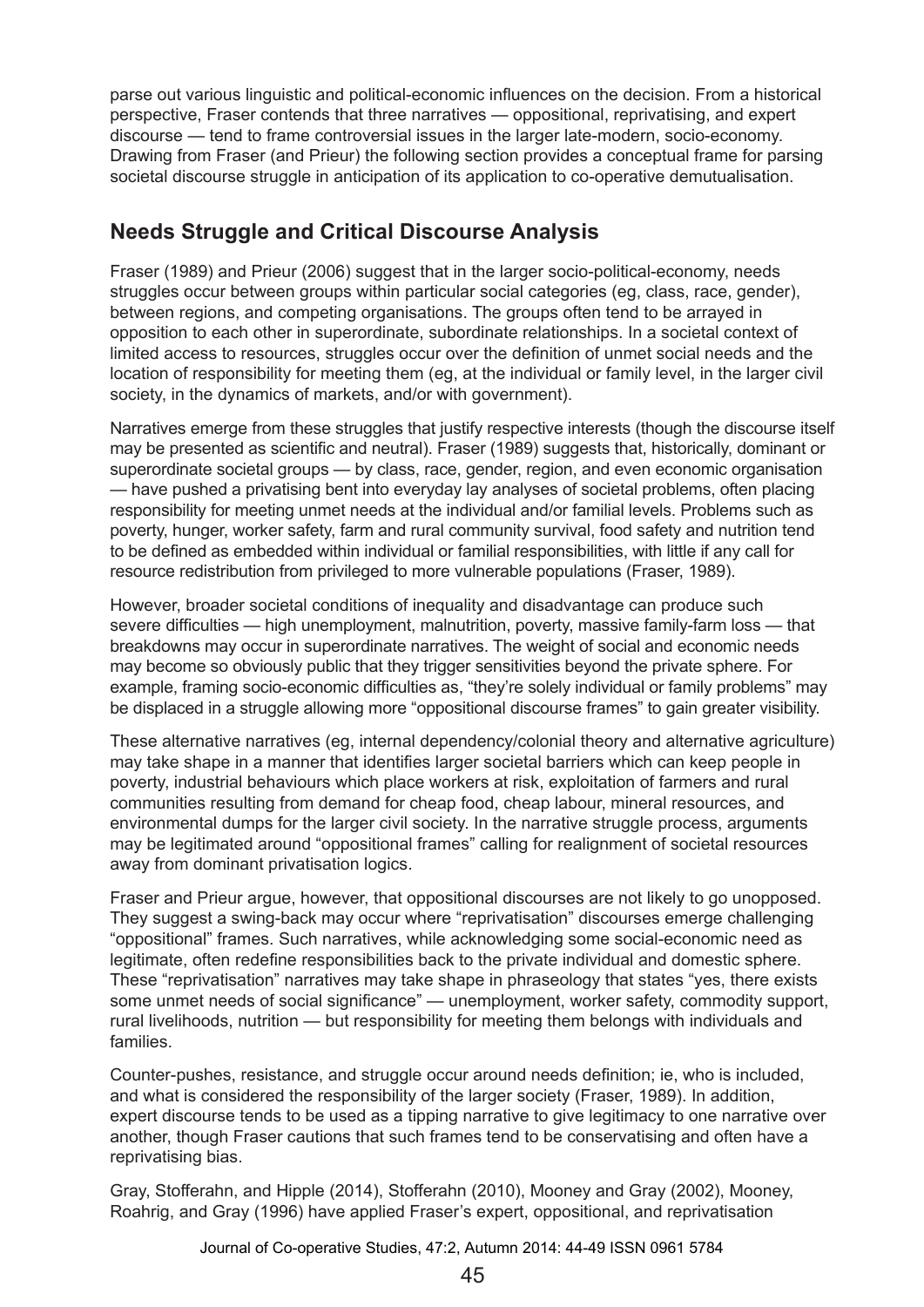parse out various linguistic and political-economic influences on the decision. From a historical perspective, Fraser contends that three narratives — oppositional, reprivatising, and expert discourse — tend to frame controversial issues in the larger late-modern, socio-economy. Drawing from Fraser (and Prieur) the following section provides a conceptual frame for parsing societal discourse struggle in anticipation of its application to co-operative demutualisation.

### **Needs Struggle and Critical Discourse Analysis**

Fraser (1989) and Prieur (2006) suggest that in the larger socio-political-economy, needs struggles occur between groups within particular social categories (eg, class, race, gender), between regions, and competing organisations. The groups often tend to be arrayed in opposition to each other in superordinate, subordinate relationships. In a societal context of limited access to resources, struggles occur over the definition of unmet social needs and the location of responsibility for meeting them (eg, at the individual or family level, in the larger civil society, in the dynamics of markets, and/or with government).

Narratives emerge from these struggles that justify respective interests (though the discourse itself may be presented as scientific and neutral). Fraser (1989) suggests that, historically, dominant or superordinate societal groups — by class, race, gender, region, and even economic organisation — have pushed a privatising bent into everyday lay analyses of societal problems, often placing responsibility for meeting unmet needs at the individual and/or familial levels. Problems such as poverty, hunger, worker safety, farm and rural community survival, food safety and nutrition tend to be defined as embedded within individual or familial responsibilities, with little if any call for resource redistribution from privileged to more vulnerable populations (Fraser, 1989).

However, broader societal conditions of inequality and disadvantage can produce such severe difficulties — high unemployment, malnutrition, poverty, massive family-farm loss — that breakdowns may occur in superordinate narratives. The weight of social and economic needs may become so obviously public that they trigger sensitivities beyond the private sphere. For example, framing socio-economic difficulties as, "they're solely individual or family problems" may be displaced in a struggle allowing more "oppositional discourse frames" to gain greater visibility.

These alternative narratives (eg, internal dependency/colonial theory and alternative agriculture) may take shape in a manner that identifies larger societal barriers which can keep people in poverty, industrial behaviours which place workers at risk, exploitation of farmers and rural communities resulting from demand for cheap food, cheap labour, mineral resources, and environmental dumps for the larger civil society. In the narrative struggle process, arguments may be legitimated around "oppositional frames" calling for realignment of societal resources away from dominant privatisation logics.

Fraser and Prieur argue, however, that oppositional discourses are not likely to go unopposed. They suggest a swing-back may occur where "reprivatisation" discourses emerge challenging "oppositional" frames. Such narratives, while acknowledging some social-economic need as legitimate, often redefine responsibilities back to the private individual and domestic sphere. These "reprivatisation" narratives may take shape in phraseology that states "yes, there exists some unmet needs of social significance" — unemployment, worker safety, commodity support, rural livelihoods, nutrition — but responsibility for meeting them belongs with individuals and families.

Counter-pushes, resistance, and struggle occur around needs definition; ie, who is included, and what is considered the responsibility of the larger society (Fraser, 1989). In addition, expert discourse tends to be used as a tipping narrative to give legitimacy to one narrative over another, though Fraser cautions that such frames tend to be conservatising and often have a reprivatising bias.

Gray, Stofferahn, and Hipple (2014), Stofferahn (2010), Mooney and Gray (2002), Mooney, Roahrig, and Gray (1996) have applied Fraser's expert, oppositional, and reprivatisation

Journal of Co-operative Studies, 47:2, Autumn 2014: 44-49 ISSN 0961 5784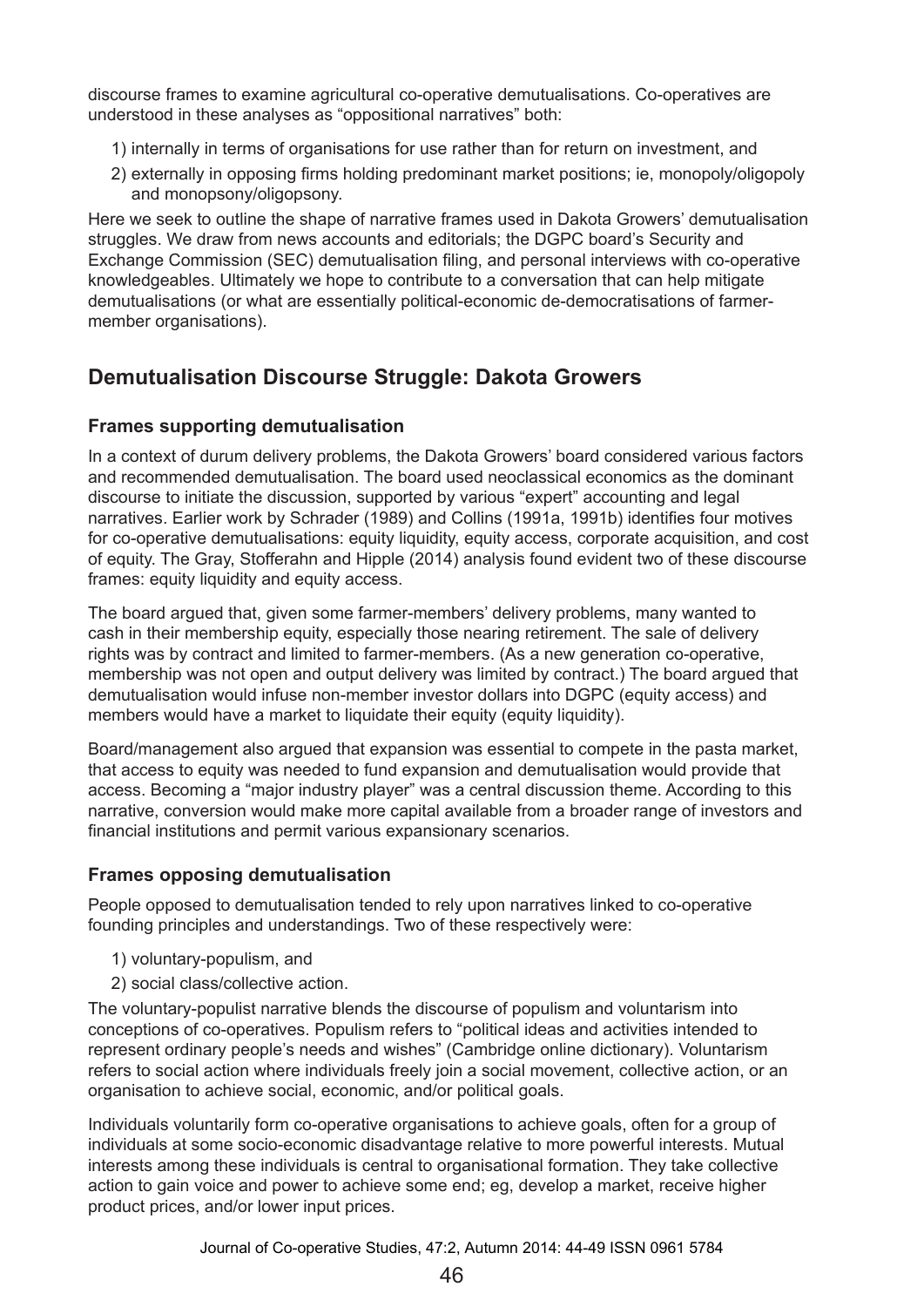discourse frames to examine agricultural co-operative demutualisations. Co-operatives are understood in these analyses as "oppositional narratives" both:

- 1) internally in terms of organisations for use rather than for return on investment, and
- 2) externally in opposing firms holding predominant market positions; ie, monopoly/oligopoly and monopsony/oligopsony.

Here we seek to outline the shape of narrative frames used in Dakota Growers' demutualisation struggles. We draw from news accounts and editorials; the DGPC board's Security and Exchange Commission (SEC) demutualisation filing, and personal interviews with co-operative knowledgeables. Ultimately we hope to contribute to a conversation that can help mitigate demutualisations (or what are essentially political-economic de-democratisations of farmermember organisations).

## **Demutualisation Discourse Struggle: Dakota Growers**

#### **Frames supporting demutualisation**

In a context of durum delivery problems, the Dakota Growers' board considered various factors and recommended demutualisation. The board used neoclassical economics as the dominant discourse to initiate the discussion, supported by various "expert" accounting and legal narratives. Earlier work by Schrader (1989) and Collins (1991a, 1991b) identifies four motives for co-operative demutualisations: equity liquidity, equity access, corporate acquisition, and cost of equity. The Gray, Stofferahn and Hipple (2014) analysis found evident two of these discourse frames: equity liquidity and equity access.

The board argued that, given some farmer-members' delivery problems, many wanted to cash in their membership equity, especially those nearing retirement. The sale of delivery rights was by contract and limited to farmer-members. (As a new generation co-operative, membership was not open and output delivery was limited by contract.) The board argued that demutualisation would infuse non-member investor dollars into DGPC (equity access) and members would have a market to liquidate their equity (equity liquidity).

Board/management also argued that expansion was essential to compete in the pasta market, that access to equity was needed to fund expansion and demutualisation would provide that access. Becoming a "major industry player" was a central discussion theme. According to this narrative, conversion would make more capital available from a broader range of investors and financial institutions and permit various expansionary scenarios.

#### **Frames opposing demutualisation**

People opposed to demutualisation tended to rely upon narratives linked to co-operative founding principles and understandings. Two of these respectively were:

- 1) voluntary-populism, and
- 2) social class/collective action.

The voluntary-populist narrative blends the discourse of populism and voluntarism into conceptions of co-operatives. Populism refers to "political ideas and activities intended to represent ordinary people's needs and wishes" (Cambridge online dictionary). Voluntarism refers to social action where individuals freely join a social movement, collective action, or an organisation to achieve social, economic, and/or political goals.

Individuals voluntarily form co-operative organisations to achieve goals, often for a group of individuals at some socio-economic disadvantage relative to more powerful interests. Mutual interests among these individuals is central to organisational formation. They take collective action to gain voice and power to achieve some end; eg, develop a market, receive higher product prices, and/or lower input prices.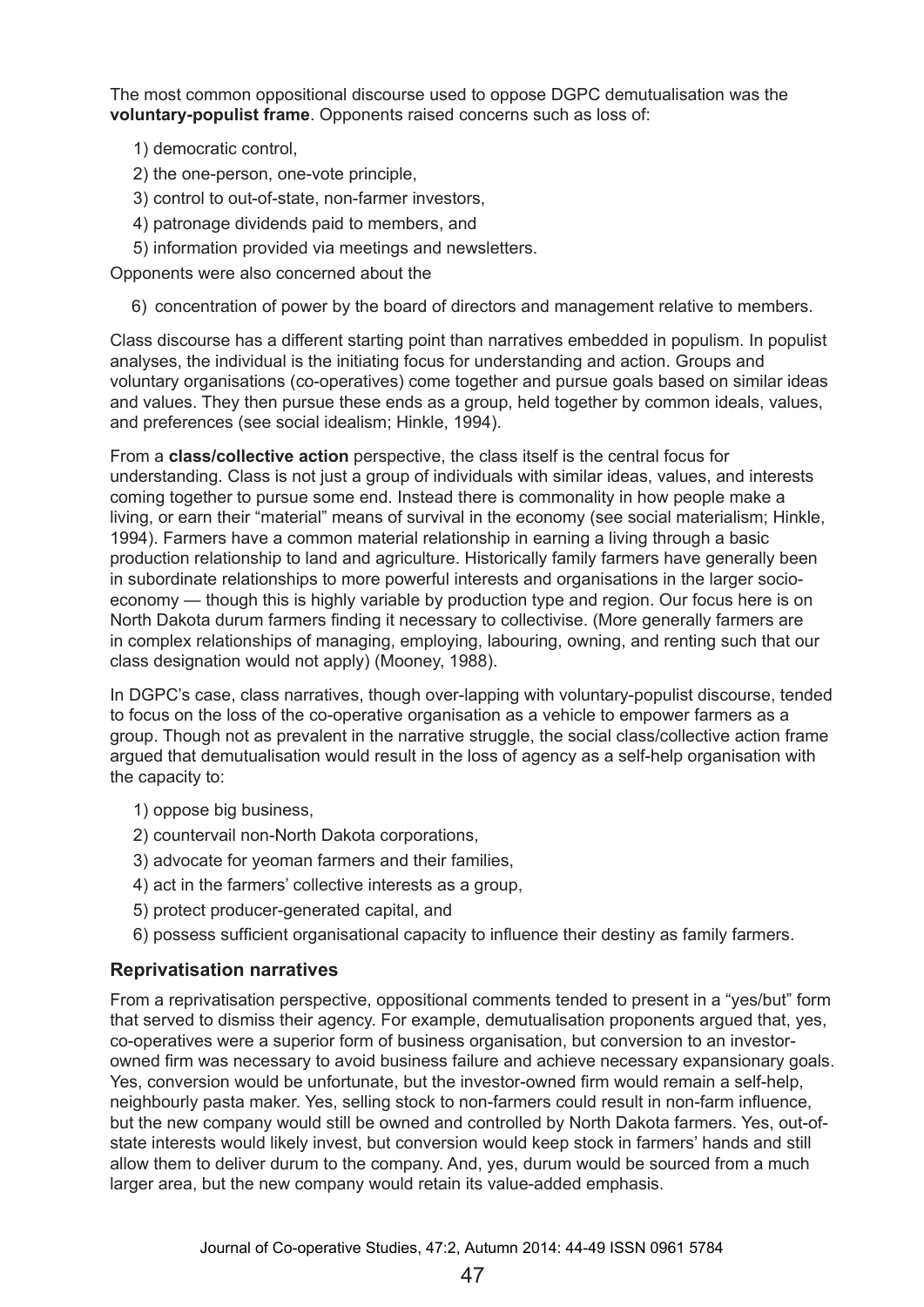The most common oppositional discourse used to oppose DGPC demutualisation was the **voluntary-populist frame**. Opponents raised concerns such as loss of:

- 1) democratic control,
- 2) the one-person, one-vote principle,
- 3) control to out-of-state, non-farmer investors,
- 4) patronage dividends paid to members, and
- 5) information provided via meetings and newsletters.

Opponents were also concerned about the

6) concentration of power by the board of directors and management relative to members.

Class discourse has a different starting point than narratives embedded in populism. In populist analyses, the individual is the initiating focus for understanding and action. Groups and voluntary organisations (co-operatives) come together and pursue goals based on similar ideas and values. They then pursue these ends as a group, held together by common ideals, values, and preferences (see social idealism; Hinkle, 1994).

From a **class/collective action** perspective, the class itself is the central focus for understanding. Class is not just a group of individuals with similar ideas, values, and interests coming together to pursue some end. Instead there is commonality in how people make a living, or earn their "material" means of survival in the economy (see social materialism; Hinkle, 1994). Farmers have a common material relationship in earning a living through a basic production relationship to land and agriculture. Historically family farmers have generally been in subordinate relationships to more powerful interests and organisations in the larger socioeconomy — though this is highly variable by production type and region. Our focus here is on North Dakota durum farmers finding it necessary to collectivise. (More generally farmers are in complex relationships of managing, employing, labouring, owning, and renting such that our class designation would not apply) (Mooney, 1988).

In DGPC's case, class narratives, though over-lapping with voluntary-populist discourse, tended to focus on the loss of the co-operative organisation as a vehicle to empower farmers as a group. Though not as prevalent in the narrative struggle, the social class/collective action frame argued that demutualisation would result in the loss of agency as a self-help organisation with the capacity to:

- 1) oppose big business,
- 2) countervail non-North Dakota corporations,
- 3) advocate for yeoman farmers and their families,
- 4) act in the farmers' collective interests as a group,
- 5) protect producer-generated capital, and
- 6) possess sufficient organisational capacity to influence their destiny as family farmers.

#### **Reprivatisation narratives**

From a reprivatisation perspective, oppositional comments tended to present in a "yes/but" form that served to dismiss their agency. For example, demutualisation proponents argued that, yes, co-operatives were a superior form of business organisation, but conversion to an investorowned firm was necessary to avoid business failure and achieve necessary expansionary goals. Yes, conversion would be unfortunate, but the investor-owned firm would remain a self-help, neighbourly pasta maker. Yes, selling stock to non-farmers could result in non-farm influence, but the new company would still be owned and controlled by North Dakota farmers. Yes, out-ofstate interests would likely invest, but conversion would keep stock in farmers' hands and still allow them to deliver durum to the company. And, yes, durum would be sourced from a much larger area, but the new company would retain its value-added emphasis.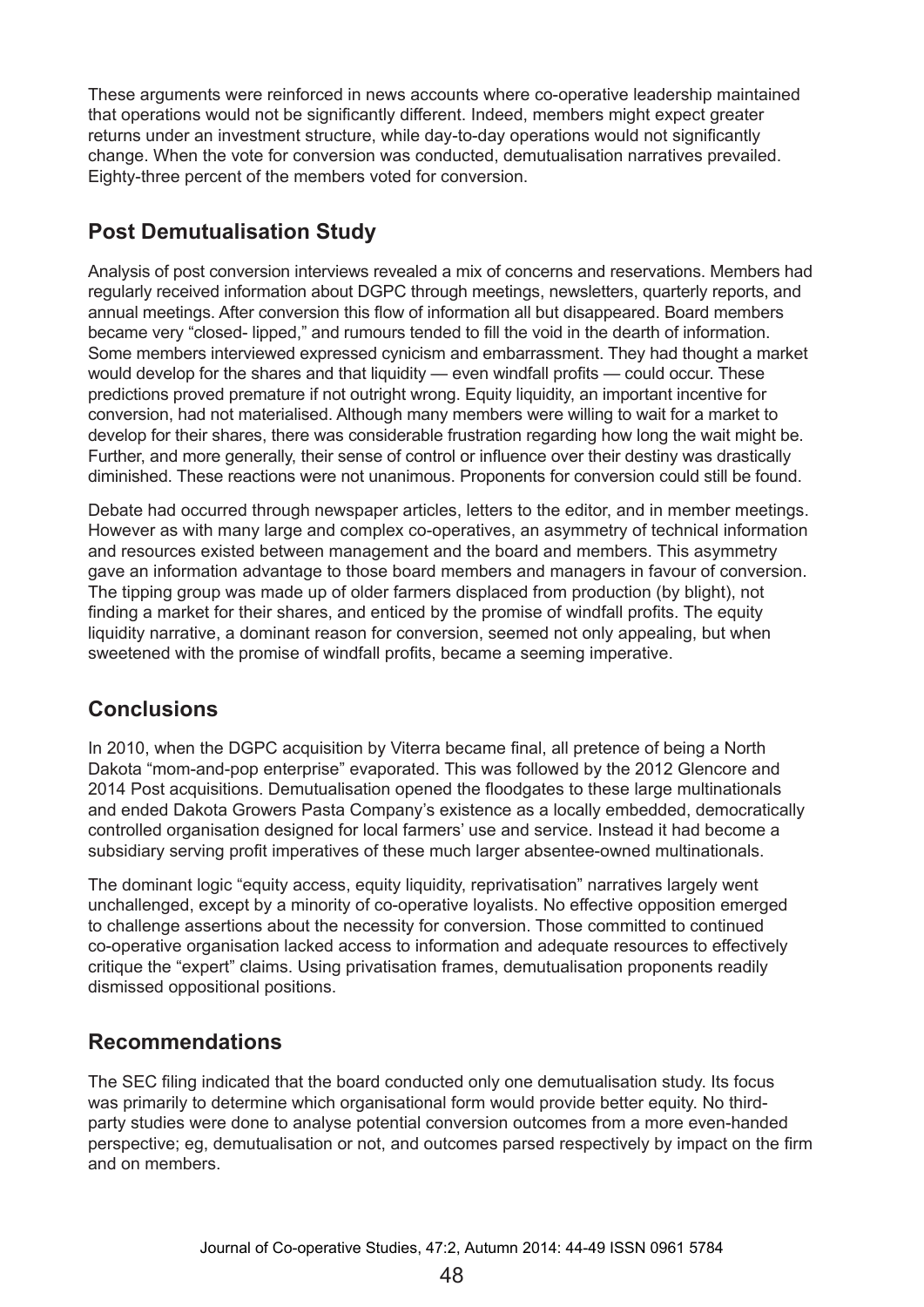These arguments were reinforced in news accounts where co-operative leadership maintained that operations would not be significantly different. Indeed, members might expect greater returns under an investment structure, while day-to-day operations would not significantly change. When the vote for conversion was conducted, demutualisation narratives prevailed. Eighty-three percent of the members voted for conversion.

# **Post Demutualisation Study**

Analysis of post conversion interviews revealed a mix of concerns and reservations. Members had regularly received information about DGPC through meetings, newsletters, quarterly reports, and annual meetings. After conversion this flow of information all but disappeared. Board members became very "closed- lipped," and rumours tended to fill the void in the dearth of information. Some members interviewed expressed cynicism and embarrassment. They had thought a market would develop for the shares and that liquidity — even windfall profits — could occur. These predictions proved premature if not outright wrong. Equity liquidity, an important incentive for conversion, had not materialised. Although many members were willing to wait for a market to develop for their shares, there was considerable frustration regarding how long the wait might be. Further, and more generally, their sense of control or influence over their destiny was drastically diminished. These reactions were not unanimous. Proponents for conversion could still be found.

Debate had occurred through newspaper articles, letters to the editor, and in member meetings. However as with many large and complex co-operatives, an asymmetry of technical information and resources existed between management and the board and members. This asymmetry gave an information advantage to those board members and managers in favour of conversion. The tipping group was made up of older farmers displaced from production (by blight), not finding a market for their shares, and enticed by the promise of windfall profits. The equity liquidity narrative, a dominant reason for conversion, seemed not only appealing, but when sweetened with the promise of windfall profits, became a seeming imperative.

## **Conclusions**

In 2010, when the DGPC acquisition by Viterra became final, all pretence of being a North Dakota "mom-and-pop enterprise" evaporated. This was followed by the 2012 Glencore and 2014 Post acquisitions. Demutualisation opened the floodgates to these large multinationals and ended Dakota Growers Pasta Company's existence as a locally embedded, democratically controlled organisation designed for local farmers' use and service. Instead it had become a subsidiary serving profit imperatives of these much larger absentee-owned multinationals.

The dominant logic "equity access, equity liquidity, reprivatisation" narratives largely went unchallenged, except by a minority of co-operative loyalists. No effective opposition emerged to challenge assertions about the necessity for conversion. Those committed to continued co-operative organisation lacked access to information and adequate resources to effectively critique the "expert" claims. Using privatisation frames, demutualisation proponents readily dismissed oppositional positions.

## **Recommendations**

The SEC filing indicated that the board conducted only one demutualisation study. Its focus was primarily to determine which organisational form would provide better equity. No thirdparty studies were done to analyse potential conversion outcomes from a more even-handed perspective; eg, demutualisation or not, and outcomes parsed respectively by impact on the firm and on members.